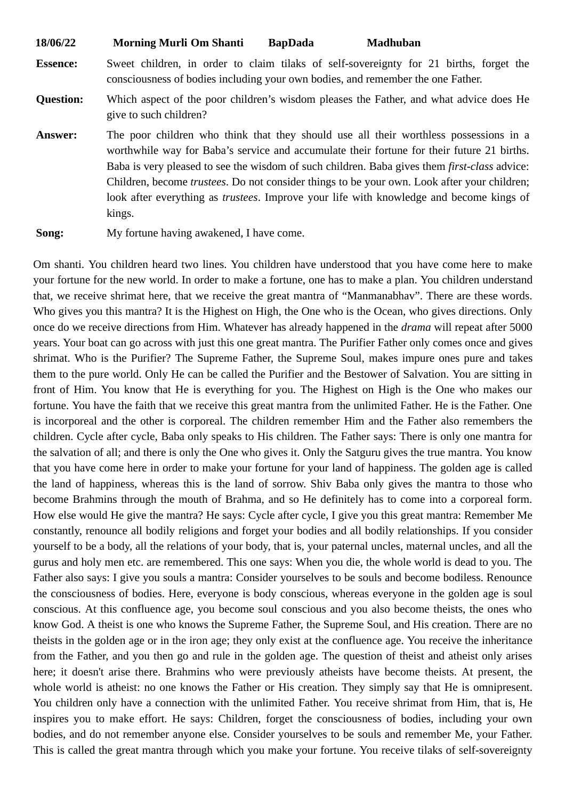| 18/06/22<br><b>Morning Murli Om Shanti</b> | <b>BapDada</b> | Madhuban |
|--------------------------------------------|----------------|----------|
|--------------------------------------------|----------------|----------|

**Essence:** Sweet children, in order to claim tilaks of self-sovereignty for 21 births, forget the consciousness of bodies including your own bodies, and remember the one Father.

- **Question:** Which aspect of the poor children's wisdom pleases the Father, and what advice does He give to such children?
- **Answer:** The poor children who think that they should use all their worthless possessions in a worthwhile way for Baba's service and accumulate their fortune for their future 21 births. Baba is very pleased to see the wisdom of such children. Baba gives them *first-class* advice: Children, become *trustees*. Do not consider things to be your own. Look after your children; look after everything as *trustees*. Improve your life with knowledge and become kings of kings.

**Song:** My fortune having awakened, I have come.

Om shanti. You children heard two lines. You children have understood that you have come here to make your fortune for the new world. In order to make a fortune, one has to make a plan. You children understand that, we receive shrimat here, that we receive the great mantra of "Manmanabhav". There are these words. Who gives you this mantra? It is the Highest on High, the One who is the Ocean, who gives directions. Only once do we receive directions from Him. Whatever has already happened in the *drama* will repeat after 5000 years. Your boat can go across with just this one great mantra. The Purifier Father only comes once and gives shrimat. Who is the Purifier? The Supreme Father, the Supreme Soul, makes impure ones pure and takes them to the pure world. Only He can be called the Purifier and the Bestower of Salvation. You are sitting in front of Him. You know that He is everything for you. The Highest on High is the One who makes our fortune. You have the faith that we receive this great mantra from the unlimited Father. He is the Father. One is incorporeal and the other is corporeal. The children remember Him and the Father also remembers the children. Cycle after cycle, Baba only speaks to His children. The Father says: There is only one mantra for the salvation of all; and there is only the One who gives it. Only the Satguru gives the true mantra. You know that you have come here in order to make your fortune for your land of happiness. The golden age is called the land of happiness, whereas this is the land of sorrow. Shiv Baba only gives the mantra to those who become Brahmins through the mouth of Brahma, and so He definitely has to come into a corporeal form. How else would He give the mantra? He says: Cycle after cycle, I give you this great mantra: Remember Me constantly, renounce all bodily religions and forget your bodies and all bodily relationships. If you consider yourself to be a body, all the relations of your body, that is, your paternal uncles, maternal uncles, and all the gurus and holy men etc. are remembered. This one says: When you die, the whole world is dead to you. The Father also says: I give you souls a mantra: Consider yourselves to be souls and become bodiless. Renounce the consciousness of bodies. Here, everyone is body conscious, whereas everyone in the golden age is soul conscious. At this confluence age, you become soul conscious and you also become theists, the ones who know God. A theist is one who knows the Supreme Father, the Supreme Soul, and His creation. There are no theists in the golden age or in the iron age; they only exist at the confluence age. You receive the inheritance from the Father, and you then go and rule in the golden age. The question of theist and atheist only arises here; it doesn't arise there. Brahmins who were previously atheists have become theists. At present, the whole world is atheist: no one knows the Father or His creation. They simply say that He is omnipresent. You children only have a connection with the unlimited Father. You receive shrimat from Him, that is, He inspires you to make effort. He says: Children, forget the consciousness of bodies, including your own bodies, and do not remember anyone else. Consider yourselves to be souls and remember Me, your Father. This is called the great mantra through which you make your fortune. You receive tilaks of self-sovereignty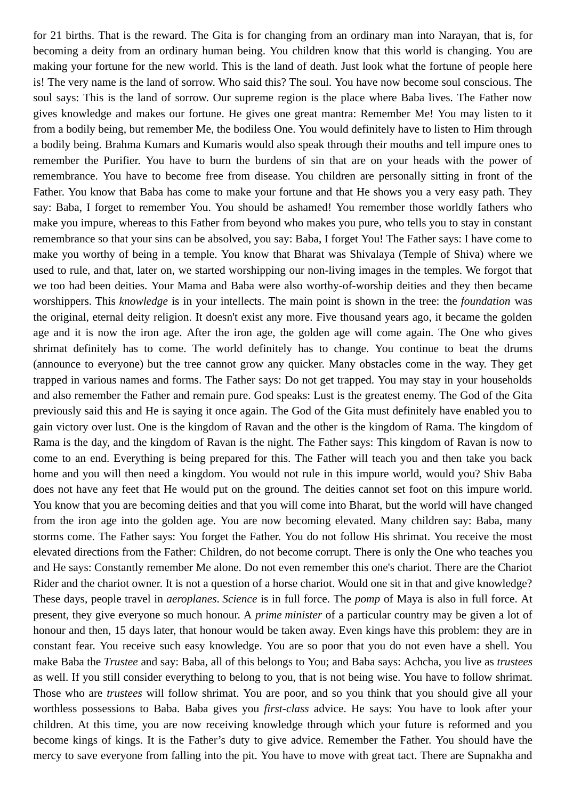for 21 births. That is the reward. The Gita is for changing from an ordinary man into Narayan, that is, for becoming a deity from an ordinary human being. You children know that this world is changing. You are making your fortune for the new world. This is the land of death. Just look what the fortune of people here is! The very name is the land of sorrow. Who said this? The soul. You have now become soul conscious. The soul says: This is the land of sorrow. Our supreme region is the place where Baba lives. The Father now gives knowledge and makes our fortune. He gives one great mantra: Remember Me! You may listen to it from a bodily being, but remember Me, the bodiless One. You would definitely have to listen to Him through a bodily being. Brahma Kumars and Kumaris would also speak through their mouths and tell impure ones to remember the Purifier. You have to burn the burdens of sin that are on your heads with the power of remembrance. You have to become free from disease. You children are personally sitting in front of the Father. You know that Baba has come to make your fortune and that He shows you a very easy path. They say: Baba, I forget to remember You. You should be ashamed! You remember those worldly fathers who make you impure, whereas to this Father from beyond who makes you pure, who tells you to stay in constant remembrance so that your sins can be absolved, you say: Baba, I forget You! The Father says: I have come to make you worthy of being in a temple. You know that Bharat was Shivalaya (Temple of Shiva) where we used to rule, and that, later on, we started worshipping our non-living images in the temples. We forgot that we too had been deities. Your Mama and Baba were also worthy-of-worship deities and they then became worshippers. This *knowledge* is in your intellects. The main point is shown in the tree: the *foundation* was the original, eternal deity religion. It doesn't exist any more. Five thousand years ago, it became the golden age and it is now the iron age. After the iron age, the golden age will come again. The One who gives shrimat definitely has to come. The world definitely has to change. You continue to beat the drums (announce to everyone) but the tree cannot grow any quicker. Many obstacles come in the way. They get trapped in various names and forms. The Father says: Do not get trapped. You may stay in your households and also remember the Father and remain pure. God speaks: Lust is the greatest enemy. The God of the Gita previously said this and He is saying it once again. The God of the Gita must definitely have enabled you to gain victory over lust. One is the kingdom of Ravan and the other is the kingdom of Rama. The kingdom of Rama is the day, and the kingdom of Ravan is the night. The Father says: This kingdom of Ravan is now to come to an end. Everything is being prepared for this. The Father will teach you and then take you back home and you will then need a kingdom. You would not rule in this impure world, would you? Shiv Baba does not have any feet that He would put on the ground. The deities cannot set foot on this impure world. You know that you are becoming deities and that you will come into Bharat, but the world will have changed from the iron age into the golden age. You are now becoming elevated. Many children say: Baba, many storms come. The Father says: You forget the Father. You do not follow His shrimat. You receive the most elevated directions from the Father: Children, do not become corrupt. There is only the One who teaches you and He says: Constantly remember Me alone. Do not even remember this one's chariot. There are the Chariot Rider and the chariot owner. It is not a question of a horse chariot. Would one sit in that and give knowledge? These days, people travel in *aeroplanes*. *Science* is in full force. The *pomp* of Maya is also in full force. At present, they give everyone so much honour. A *prime minister* of a particular country may be given a lot of honour and then, 15 days later, that honour would be taken away. Even kings have this problem: they are in constant fear. You receive such easy knowledge. You are so poor that you do not even have a shell. You make Baba the *Trustee* and say: Baba, all of this belongs to You; and Baba says: Achcha, you live as *trustees* as well. If you still consider everything to belong to you, that is not being wise. You have to follow shrimat. Those who are *trustees* will follow shrimat. You are poor, and so you think that you should give all your worthless possessions to Baba. Baba gives you *first-class* advice. He says: You have to look after your children. At this time, you are now receiving knowledge through which your future is reformed and you become kings of kings. It is the Father's duty to give advice. Remember the Father. You should have the mercy to save everyone from falling into the pit. You have to move with great tact. There are Supnakha and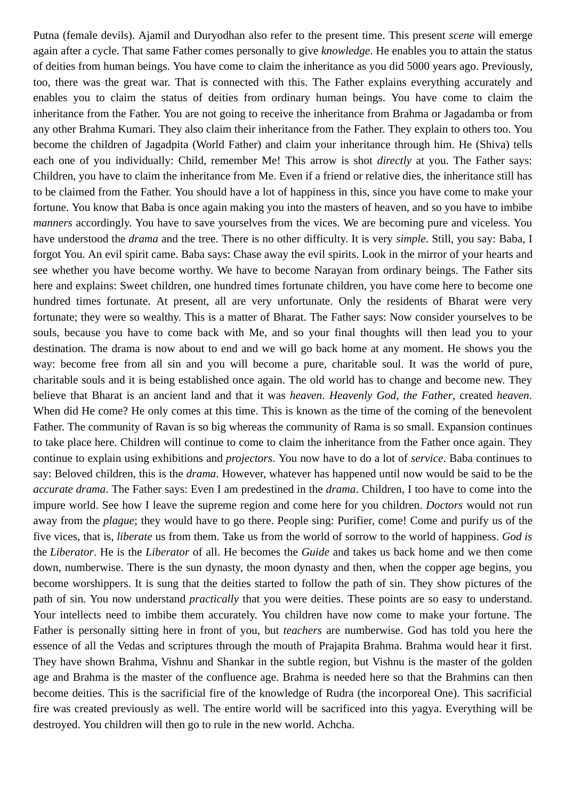Putna (female devils). Ajamil and Duryodhan also refer to the present time. This present *scene* will emerge again after a cycle. That same Father comes personally to give *knowledge*. He enables you to attain the status of deities from human beings. You have come to claim the inheritance as you did 5000 years ago. Previously, too, there was the great war. That is connected with this. The Father explains everything accurately and enables you to claim the status of deities from ordinary human beings. You have come to claim the inheritance from the Father. You are not going to receive the inheritance from Brahma or Jagadamba or from any other Brahma Kumari. They also claim their inheritance from the Father. They explain to others too. You become the children of Jagadpita (World Father) and claim your inheritance through him. He (Shiva) tells each one of you individually: Child, remember Me! This arrow is shot *directly* at you. The Father says: Children, you have to claim the inheritance from Me. Even if a friend or relative dies, the inheritance still has to be claimed from the Father. You should have a lot of happiness in this, since you have come to make your fortune. You know that Baba is once again making you into the masters of heaven, and so you have to imbibe *manners* accordingly. You have to save yourselves from the vices. We are becoming pure and viceless. You have understood the *drama* and the tree. There is no other difficulty. It is very *simple*. Still, you say: Baba, I forgot You. An evil spirit came. Baba says: Chase away the evil spirits. Look in the mirror of your hearts and see whether you have become worthy. We have to become Narayan from ordinary beings. The Father sits here and explains: Sweet children, one hundred times fortunate children, you have come here to become one hundred times fortunate. At present, all are very unfortunate. Only the residents of Bharat were very fortunate; they were so wealthy. This is a matter of Bharat. The Father says: Now consider yourselves to be souls, because you have to come back with Me, and so your final thoughts will then lead you to your destination. The drama is now about to end and we will go back home at any moment. He shows you the way: become free from all sin and you will become a pure, charitable soul. It was the world of pure, charitable souls and it is being established once again. The old world has to change and become new. They believe that Bharat is an ancient land and that it was *heaven*. *Heavenly God, the Father,* created *heaven*. When did He come? He only comes at this time. This is known as the time of the coming of the benevolent Father. The community of Ravan is so big whereas the community of Rama is so small. Expansion continues to take place here. Children will continue to come to claim the inheritance from the Father once again. They continue to explain using exhibitions and *projectors*. You now have to do a lot of *service*. Baba continues to say: Beloved children, this is the *drama*. However, whatever has happened until now would be said to be the *accurate drama*. The Father says: Even I am predestined in the *drama*. Children, I too have to come into the impure world. See how I leave the supreme region and come here for you children. *Doctors* would not run away from the *plague*; they would have to go there. People sing: Purifier, come! Come and purify us of the five vices, that is, *liberate* us from them. Take us from the world of sorrow to the world of happiness. *God is* the *Liberator*. He is the *Liberator* of all. He becomes the *Guide* and takes us back home and we then come down, numberwise. There is the sun dynasty, the moon dynasty and then, when the copper age begins, you become worshippers. It is sung that the deities started to follow the path of sin. They show pictures of the path of sin. You now understand *practically* that you were deities. These points are so easy to understand. Your intellects need to imbibe them accurately. You children have now come to make your fortune. The Father is personally sitting here in front of you, but *teachers* are numberwise. God has told you here the essence of all the Vedas and scriptures through the mouth of Prajapita Brahma. Brahma would hear it first. They have shown Brahma, Vishnu and Shankar in the subtle region, but Vishnu is the master of the golden age and Brahma is the master of the confluence age. Brahma is needed here so that the Brahmins can then become deities. This is the sacrificial fire of the knowledge of Rudra (the incorporeal One). This sacrificial fire was created previously as well. The entire world will be sacrificed into this yagya. Everything will be destroyed. You children will then go to rule in the new world. Achcha.